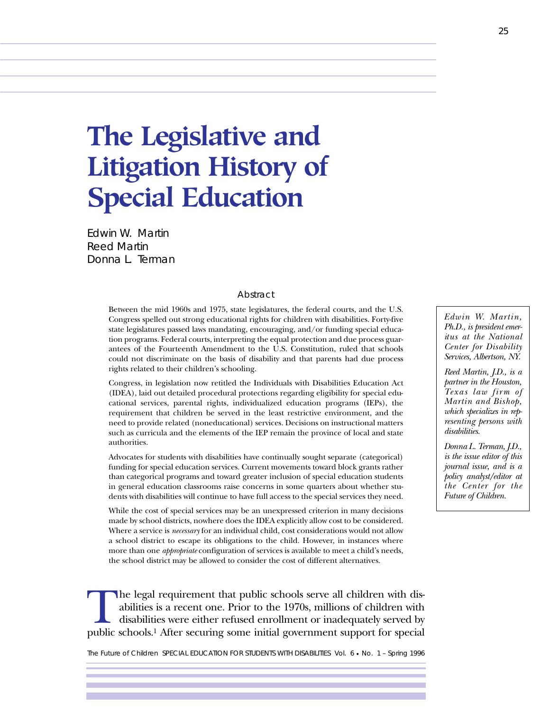**The Legislative and Litigation History of Special Education**

Edwin W. Martin Reed Martin Donna L. Terman

#### Abstract

Between the mid 1960s and 1975, state legislatures, the federal courts, and the U.S. Congress spelled out strong educational rights for children with disabilities. Forty-five state legislatures passed laws mandating, encouraging, and/or funding special education programs. Federal courts, interpreting the equal protection and due process guarantees of the Fourteenth Amendment to the U.S. Constitution, ruled that schools could not discriminate on the basis of disability and that parents had due process rights related to their children's schooling.

Congress, in legislation now retitled the Individuals with Disabilities Education Act (IDEA), laid out detailed procedural protections regarding eligibility for special educational services, parental rights, individualized education programs (IEPs), the requirement that children be served in the least restrictive environment, and the need to provide related (noneducational) services. Decisions on instructional matters such as curricula and the elements of the IEP remain the province of local and state authorities.

Advocates for students with disabilities have continually sought separate (categorical) funding for special education services. Current movements toward block grants rather than categorical programs and toward greater inclusion of special education students in general education classrooms raise concerns in some quarters about whether students with disabilities will continue to have full access to the special services they need.

While the cost of special services may be an unexpressed criterion in many decisions made by school districts, nowhere does the IDEA explicitly allow cost to be considered. Where a service is *necessary* for an individual child, cost considerations would not allow a school district to escape its obligations to the child. However, in instances where more than one *appropriate* configuration of services is available to meet a child's needs, the school district may be allowed to consider the cost of different alternatives.

The legal requirement that public schools serve all children with disabilities is a recent one. Prior to the 1970s, millions of children with disabilities were either refused enrollment or inadequately served by public sch abilities is a recent one. Prior to the 1970s, millions of children with disabilities were either refused enrollment or inadequately served by

The Future of Children SPECIAL EDUCATION FOR STUDENTS WITH DISABILITIES Vol. 6 • No. 1 – Spring 1996

*Edwin W. Martin, Ph.D., is president emeritus at the National Center for Disability Services, Albertson, NY.*

*Reed Martin, J.D., is a partner in the Houston, Texas law firm of Martin and Bishop, which specializes in representing persons with disabilities.*

*Donna L. Terman, J.D., is the issue editor of this journal issue, and is a policy analyst/editor at the Center for the Future of Children.*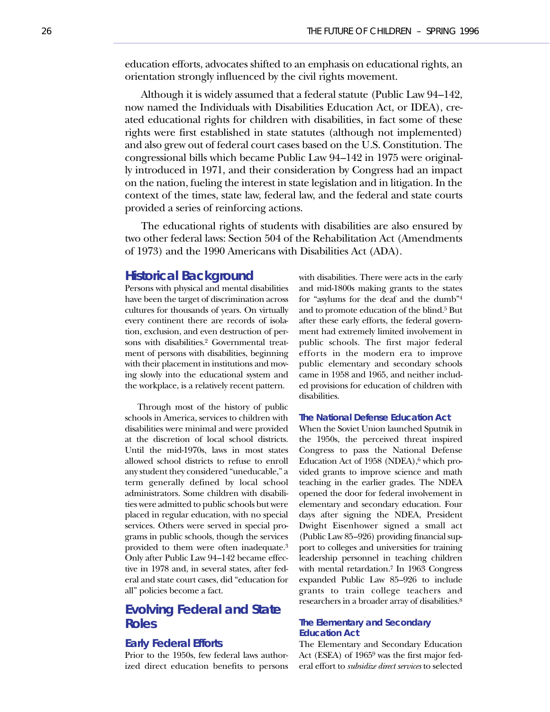education efforts, advocates shifted to an emphasis on educational rights, an orientation strongly influenced by the civil rights movement.

Although it is widely assumed that a federal statute (Public Law 94–142, now named the Individuals with Disabilities Education Act, or IDEA), created educational rights for children with disabilities, in fact some of these rights were first established in state statutes (although not implemented) and also grew out of federal court cases based on the U.S. Constitution. The congressional bills which became Public Law 94–142 in 1975 were originally introduced in 1971, and their consideration by Congress had an impact on the nation, fueling the interest in state legislation and in litigation. In the context of the times, state law, federal law, and the federal and state courts provided a series of reinforcing actions.

The educational rights of students with disabilities are also ensured by two other federal laws: Section 504 of the Rehabilitation Act (Amendments of 1973) and the 1990 Americans with Disabilities Act (ADA).

### **Historical Background**

Persons with physical and mental disabilities have been the target of discrimination across cultures for thousands of years. On virtually every continent there are records of isolation, exclusion, and even destruction of persons with disabilities.2 Governmental treatment of persons with disabilities, beginning with their placement in institutions and moving slowly into the educational system and the workplace, is a relatively recent pattern.

Through most of the history of public schools in America, services to children with disabilities were minimal and were provided at the discretion of local school districts. Until the mid-1970s, laws in most states allowed school districts to refuse to enroll any student they considered "uneducable," a term generally defined by local school administrators. Some children with disabilities were admitted to public schools but were placed in regular education, with no special services. Others were served in special programs in public schools, though the services provided to them were often inadequate.3 Only after Public Law 94–142 became effective in 1978 and, in several states, after federal and state court cases, did "education for all" policies become a fact.

# **Evolving Federal and State Roles**

### **Early Federal Efforts**

Prior to the 1950s, few federal laws authorized direct education benefits to persons with disabilities. There were acts in the early and mid-1800s making grants to the states for "asylums for the deaf and the dumb"4 and to promote education of the blind.5 But after these early efforts, the federal government had extremely limited involvement in public schools. The first major federal efforts in the modern era to improve public elementary and secondary schools came in 1958 and 1965, and neither included provisions for education of children with disabilities.

### **The National Defense Education Act**

When the Soviet Union launched Sputnik in the 1950s, the perceived threat inspired Congress to pass the National Defense Education Act of 1958 (NDEA),<sup>6</sup> which provided grants to improve science and math teaching in the earlier grades. The NDEA opened the door for federal involvement in elementary and secondary education. Four days after signing the NDEA, President Dwight Eisenhower signed a small act (Public Law 85–926) providing financial support to colleges and universities for training leadership personnel in teaching children with mental retardation.7 In 1963 Congress expanded Public Law 85–926 to include grants to train college teachers and researchers in a broader array of disabilities.8

### **The Elementary and Secondary Education Act**

The Elementary and Secondary Education Act (ESEA) of 19659 was the first major federal effort to *subsidize direct services* to selected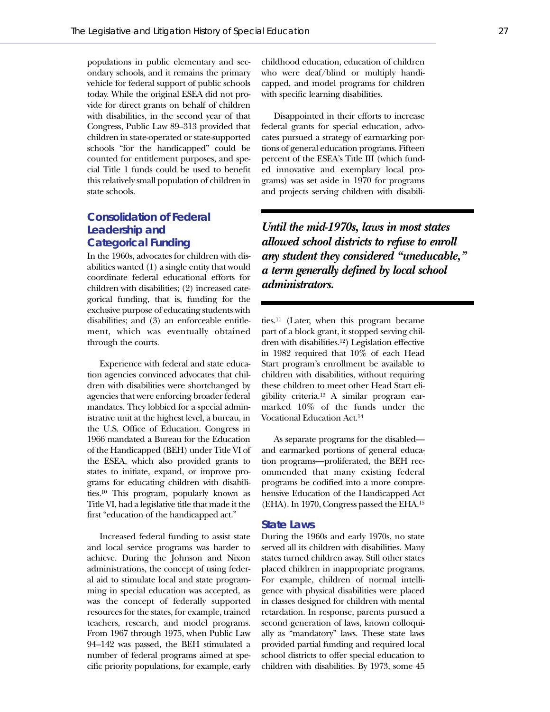populations in public elementary and secondary schools, and it remains the primary vehicle for federal support of public schools today. While the original ESEA did not provide for direct grants on behalf of children with disabilities, in the second year of that Congress, Public Law 89–313 provided that children in state-operated or state-supported schools "for the handicapped" could be counted for entitlement purposes, and special Title 1 funds could be used to benefit this relatively small population of children in state schools.

# **Consolidation of Federal Leadership and Categorical Funding**

In the 1960s, advocates for children with disabilities wanted (1) a single entity that would coordinate federal educational efforts for children with disabilities; (2) increased categorical funding, that is, funding for the exclusive purpose of educating students with disabilities; and (3) an enforceable entitlement, which was eventually obtained through the courts.

Experience with federal and state education agencies convinced advocates that children with disabilities were shortchanged by agencies that were enforcing broader federal mandates. They lobbied for a special administrative unit at the highest level, a bureau, in the U.S. Office of Education. Congress in 1966 mandated a Bureau for the Education of the Handicapped (BEH) under Title VI of the ESEA, which also provided grants to states to initiate, expand, or improve programs for educating children with disabilities.10 This program, popularly known as Title VI, had a legislative title that made it the first "education of the handicapped act."

Increased federal funding to assist state and local service programs was harder to achieve. During the Johnson and Nixon administrations, the concept of using federal aid to stimulate local and state programming in special education was accepted, as was the concept of federally supported resources for the states, for example, trained teachers, research, and model programs. From 1967 through 1975, when Public Law 94–142 was passed, the BEH stimulated a number of federal programs aimed at specific priority populations, for example, early

childhood education, education of children who were deaf/blind or multiply handicapped, and model programs for children with specific learning disabilities.

Disappointed in their efforts to increase federal grants for special education, advocates pursued a strategy of earmarking portions of general education programs. Fifteen percent of the ESEA's Title III (which funded innovative and exemplary local programs) was set aside in 1970 for programs and projects serving children with disabili-

*Until the mid-1970s, laws in most states allowed school districts to refuse to enroll any student they considered "uneducable," a term generally defined by local school administrators.*

ties.11 (Later, when this program became part of a block grant, it stopped serving children with disabilities.12) Legislation effective in 1982 required that 10% of each Head Start program's enrollment be available to children with disabilities, without requiring these children to meet other Head Start eligibility criteria.13 A similar program earmarked 10% of the funds under the Vocational Education Act.14

As separate programs for the disabled and earmarked portions of general education programs—proliferated, the BEH recommended that many existing federal programs be codified into a more comprehensive Education of the Handicapped Act (EHA). In 1970, Congress passed the EHA.15

#### **State Laws**

During the 1960s and early 1970s, no state served all its children with disabilities. Many states turned children away. Still other states placed children in inappropriate programs. For example, children of normal intelligence with physical disabilities were placed in classes designed for children with mental retardation. In response, parents pursued a second generation of laws, known colloquially as "mandatory" laws. These state laws provided partial funding and required local school districts to offer special education to children with disabilities. By 1973, some 45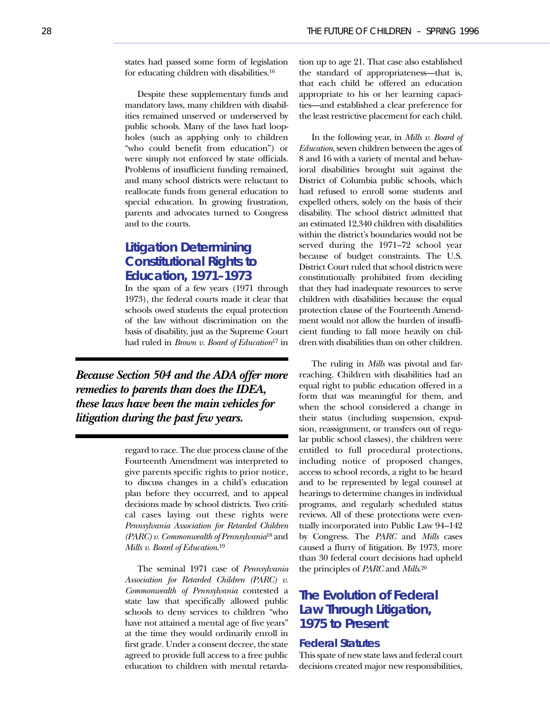states had passed some form of legislation for educating children with disabilities.16

Despite these supplementary funds and mandatory laws, many children with disabilities remained unserved or underserved by public schools. Many of the laws had loopholes (such as applying only to children "who could benefit from education") or were simply not enforced by state officials. Problems of insufficient funding remained, and many school districts were reluctant to reallocate funds from general education to special education. In growing frustration, parents and advocates turned to Congress and to the courts.

# **Litigation Determining Constitutional Rights to Education, 1971–1973**

In the span of a few years (1971 through 1973), the federal courts made it clear that schools owed students the equal protection of the law without discrimination on the basis of disability, just as the Supreme Court had ruled in *Brown v. Board of Education*<sup>17</sup> in

*Because Section 504 and the ADA offer more remedies to parents than does the IDEA, these laws have been the main vehicles for litigation during the past few years.*

> regard to race. The due process clause of the Fourteenth Amendment was interpreted to give parents specific rights to prior notice, to discuss changes in a child's education plan before they occurred, and to appeal decisions made by school districts. Two critical cases laying out these rights were *Pennsylvania Association for Retarded Children (PARC) v. Commonwealth of Pennsylvania*<sup>18</sup> and *Mills v. Board of Education*. 19

> The seminal 1971 case of *Pennsylvania Association for Retarded Children (PARC) v. Commonwealth of Pennsylvania* contested a state law that specifically allowed public schools to deny services to children "who have not attained a mental age of five years" at the time they would ordinarily enroll in first grade. Under a consent decree, the state agreed to provide full access to a free public education to children with mental retarda

tion up to age 21. That case also established the standard of appropriateness—that is, that each child be offered an education appropriate to his or her learning capacities—and established a clear preference for the least restrictive placement for each child.

In the following year, in *Mills v. Board of Education*, seven children between the ages of 8 and 16 with a variety of mental and behavioral disabilities brought suit against the District of Columbia public schools, which had refused to enroll some students and expelled others, solely on the basis of their disability. The school district admitted that an estimated 12,340 children with disabilities within the district's boundaries would not be served during the 1971–72 school year because of budget constraints. The U.S. District Court ruled that school districts were constitutionally prohibited from deciding that they had inadequate resources to serve children with disabilities because the equal protection clause of the Fourteenth Amendment would not allow the burden of insufficient funding to fall more heavily on children with disabilities than on other children.

The ruling in *Mills* was pivotal and farreaching. Children with disabilities had an equal right to public education offered in a form that was meaningful for them, and when the school considered a change in their status (including suspension, expulsion, reassignment, or transfers out of regular public school classes), the children were entitled to full procedural protections, including notice of proposed changes, access to school records, a right to be heard and to be represented by legal counsel at hearings to determine changes in individual programs, and regularly scheduled status reviews. All of these protections were eventually incorporated into Public Law 94–142 by Congress. The *PARC* and *Mills* cases caused a flurry of litigation. By 1973, more than 30 federal court decisions had upheld the principles of *PARC* and *Mills*. 20

# **The Evolution of Federal Law Through Litigation, 1975 to Present**

### **Federal Statutes**

This spate of new state laws and federal court decisions created major new responsibilities,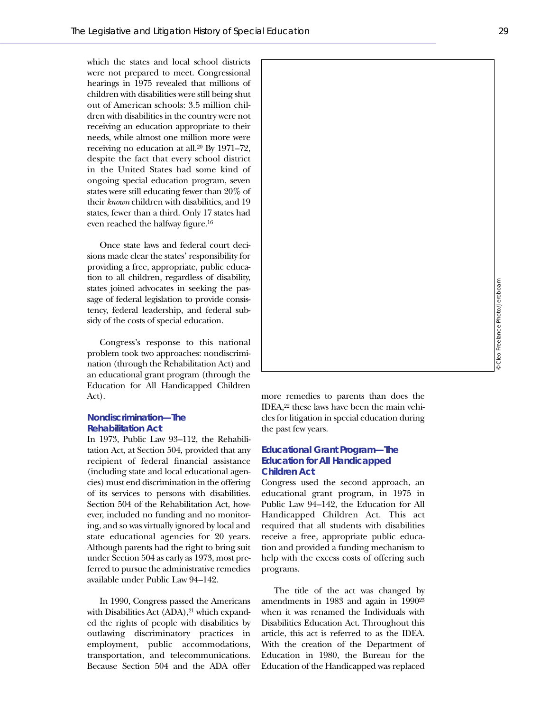which the states and local school districts were not prepared to meet. Congressional hearings in 1975 revealed that millions of children with disabilities were still being shut out of American schools: 3.5 million children with disabilities in the country were not receiving an education appropriate to their needs, while almost one million more were receiving no education at all.20 By 1971–72, despite the fact that every school district in the United States had some kind of ongoing special education program, seven states were still educating fewer than 20% of their *known* children with disabilities, and 19 states, fewer than a third. Only 17 states had even reached the halfway figure.16

Once state laws and federal court decisions made clear the states' responsibility for providing a free, appropriate, public education to all children, regardless of disability, states joined advocates in seeking the passage of federal legislation to provide consistency, federal leadership, and federal subsidy of the costs of special education.

Congress's response to this national problem took two approaches: nondiscrimination (through the Rehabilitation Act) and an educational grant program (through the Education for All Handicapped Children Act).

### **Nondiscrimination—The Rehabilitation Act**

In 1973, Public Law 93–112, the Rehabilitation Act, at Section 504, provided that any recipient of federal financial assistance (including state and local educational agencies) must end discrimination in the offering of its services to persons with disabilities. Section 504 of the Rehabilitation Act, however, included no funding and no monitoring, and so was virtually ignored by local and state educational agencies for 20 years. Although parents had the right to bring suit under Section 504 as early as 1973, most preferred to pursue the administrative remedies available under Public Law 94–142.

In 1990, Congress passed the Americans with Disabilities Act (ADA),<sup>21</sup> which expanded the rights of people with disabilities by outlawing discriminatory practices in employment, public accommodations, transportation, and telecommunications. Because Section 504 and the ADA offer

more remedies to parents than does the IDEA,22 these laws have been the main vehicles for litigation in special education during the past few years.

### **Educational Grant Program—The Education for All Handicapped Children Act**

Congress used the second approach, an educational grant program, in 1975 in Public Law 94–142, the Education for All Handicapped Children Act. This act required that all students with disabilities receive a free, appropriate public education and provided a funding mechanism to help with the excess costs of offering such programs.

The title of the act was changed by amendments in 1983 and again in 199023 when it was renamed the Individuals with Disabilities Education Act. Throughout this article, this act is referred to as the IDEA. With the creation of the Department of Education in 1980, the Bureau for the Education of the Handicapped was replaced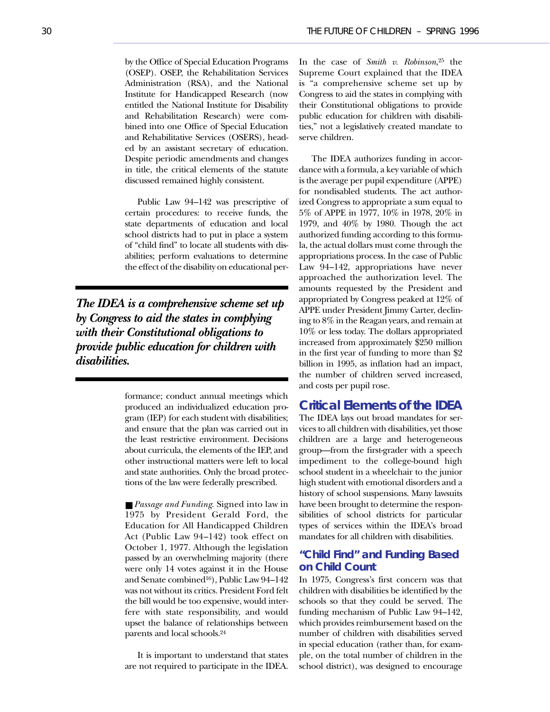by the Office of Special Education Programs (OSEP). OSEP, the Rehabilitation Services Administration (RSA), and the National Institute for Handicapped Research (now entitled the National Institute for Disability and Rehabilitation Research) were combined into one Office of Special Education and Rehabilitative Services (OSERS), headed by an assistant secretary of education. Despite periodic amendments and changes in title, the critical elements of the statute discussed remained highly consistent.

Public Law 94–142 was prescriptive of certain procedures: to receive funds, the state departments of education and local school districts had to put in place a system of "child find" to locate all students with disabilities; perform evaluations to determine the effect of the disability on educational per-

*The IDEA is a comprehensive scheme set up by Congress to aid the states in complying with their Constitutional obligations to provide public education for children with disabilities.*

> formance; conduct annual meetings which produced an individualized education program (IEP) for each student with disabilities; and ensure that the plan was carried out in the least restrictive environment. Decisions about curricula, the elements of the IEP, and other instructional matters were left to local and state authorities. Only the broad protections of the law were federally prescribed.

> ■ *Passage and Funding*. Signed into law in 1975 by President Gerald Ford, the Education for All Handicapped Children Act (Public Law 94–142) took effect on October 1, 1977. Although the legislation passed by an overwhelming majority (there were only 14 votes against it in the House and Senate combined16), Public Law 94–142 was not without its critics. President Ford felt the bill would be too expensive, would interfere with state responsibility, and would upset the balance of relationships between parents and local schools.24

> It is important to understand that states are not required to participate in the IDEA.

In the case of *Smith v. Robinson*,25 the Supreme Court explained that the IDEA is "a comprehensive scheme set up by Congress to aid the states in complying with their Constitutional obligations to provide public education for children with disabilities," not a legislatively created mandate to serve children.

The IDEA authorizes funding in accordance with a formula, a key variable of which is the average per pupil expenditure (APPE) for nondisabled students. The act authorized Congress to appropriate a sum equal to 5% of APPE in 1977, 10% in 1978, 20% in 1979, and 40% by 1980. Though the act authorized funding according to this formula, the actual dollars must come through the appropriations process. In the case of Public Law 94–142, appropriations have never approached the authorization level. The amounts requested by the President and appropriated by Congress peaked at 12% of APPE under President Jimmy Carter, declining to 8% in the Reagan years, and remain at 10% or less today. The dollars appropriated increased from approximately \$250 million in the first year of funding to more than \$2 billion in 1995, as inflation had an impact, the number of children served increased, and costs per pupil rose.

# **Critical Elements of the IDEA**

The IDEA lays out broad mandates for services to all children with disabilities, yet those children are a large and heterogeneous group—from the first-grader with a speech impediment to the college-bound high school student in a wheelchair to the junior high student with emotional disorders and a history of school suspensions. Many lawsuits have been brought to determine the responsibilities of school districts for particular types of services within the IDEA's broad mandates for all children with disabilities.

# **"Child Find" and Funding Based on Child Count**

In 1975, Congress's first concern was that children with disabilities be identified by the schools so that they could be served. The funding mechanism of Public Law 94–142, which provides reimbursement based on the number of children with disabilities served in special education (rather than, for example, on the total number of children in the school district), was designed to encourage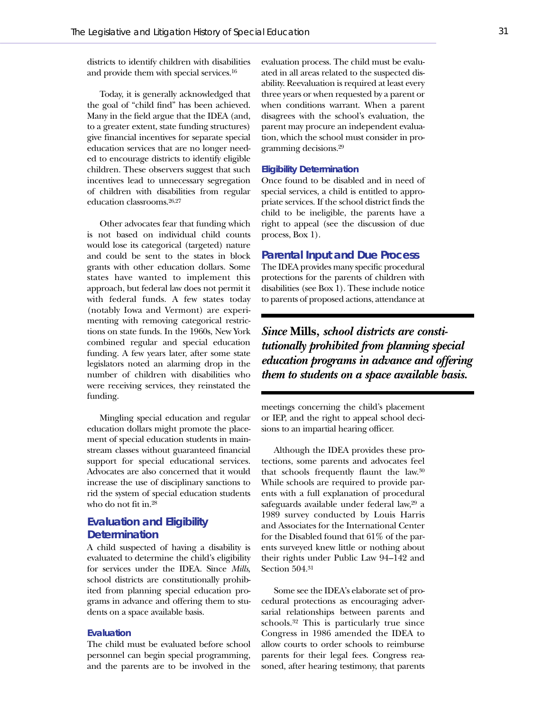districts to identify children with disabilities and provide them with special services.16

Today, it is generally acknowledged that the goal of "child find" has been achieved. Many in the field argue that the IDEA (and, to a greater extent, state funding structures) give financial incentives for separate special education services that are no longer needed to encourage districts to identify eligible children. These observers suggest that such incentives lead to unnecessary segregation of children with disabilities from regular education classrooms.26,27

Other advocates fear that funding which is not based on individual child counts would lose its categorical (targeted) nature and could be sent to the states in block grants with other education dollars. Some states have wanted to implement this approach, but federal law does not permit it with federal funds. A few states today (notably Iowa and Vermont) are experimenting with removing categorical restrictions on state funds. In the 1960s, New York combined regular and special education funding. A few years later, after some state legislators noted an alarming drop in the number of children with disabilities who were receiving services, they reinstated the funding.

Mingling special education and regular education dollars might promote the placement of special education students in mainstream classes without guaranteed financial support for special educational services. Advocates are also concerned that it would increase the use of disciplinary sanctions to rid the system of special education students who do not fit in.28

## **Evaluation and Eligibility Determination**

A child suspected of having a disability is evaluated to determine the child's eligibility for services under the IDEA. Since *Mills*, school districts are constitutionally prohibited from planning special education programs in advance and offering them to students on a space available basis.

### **Evaluation**

The child must be evaluated before school personnel can begin special programming, and the parents are to be involved in the

evaluation process. The child must be evaluated in all areas related to the suspected disability. Reevaluation is required at least every three years or when requested by a parent or when conditions warrant. When a parent disagrees with the school's evaluation, the parent may procure an independent evaluation, which the school must consider in programming decisions.29

#### **Eligibility Determination**

Once found to be disabled and in need of special services, a child is entitled to appropriate services. If the school district finds the child to be ineligible, the parents have a right to appeal (see the discussion of due process, Box 1).

#### **Parental Input and Due Process**

The IDEA provides many specific procedural protections for the parents of children with disabilities (see Box 1). These include notice to parents of proposed actions, attendance at

# *Since* **Mills***, school districts are constitutionally prohibited from planning special education programs in advance and offering them to students on a space available basis.*

meetings concerning the child's placement or IEP, and the right to appeal school decisions to an impartial hearing officer.

Although the IDEA provides these protections, some parents and advocates feel that schools frequently flaunt the law.30 While schools are required to provide parents with a full explanation of procedural safeguards available under federal law,29 a 1989 survey conducted by Louis Harris and Associates for the International Center for the Disabled found that 61% of the parents surveyed knew little or nothing about their rights under Public Law 94–142 and Section 504.31

Some see the IDEA's elaborate set of procedural protections as encouraging adversarial relationships between parents and schools.32 This is particularly true since Congress in 1986 amended the IDEA to allow courts to order schools to reimburse parents for their legal fees. Congress reasoned, after hearing testimony, that parents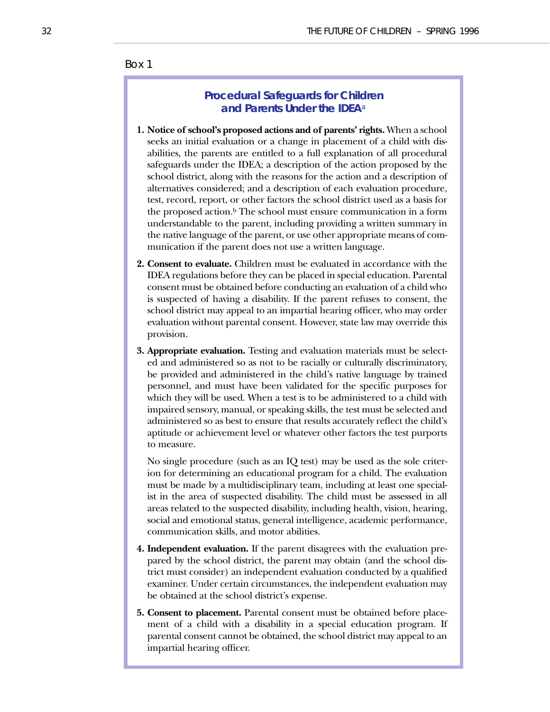## Box 1

# **Procedural Safeguards for Children and Parents Under the IDEA**<sup>a</sup>

- **1. Notice of school's proposed actions and of parents' rights.** When a school seeks an initial evaluation or a change in placement of a child with disabilities, the parents are entitled to a full explanation of all procedural safeguards under the IDEA; a description of the action proposed by the school district, along with the reasons for the action and a description of alternatives considered; and a description of each evaluation procedure, test, record, report, or other factors the school district used as a basis for the proposed action.<sup>b</sup> The school must ensure communication in a form understandable to the parent, including providing a written summary in the native language of the parent, or use other appropriate means of communication if the parent does not use a written language.
- **2. Consent to evaluate.** Children must be evaluated in accordance with the IDEA regulations before they can be placed in special education. Parental consent must be obtained before conducting an evaluation of a child who is suspected of having a disability. If the parent refuses to consent, the school district may appeal to an impartial hearing officer, who may order evaluation without parental consent. However, state law may override this provision.
- **3. Appropriate evaluation.** Testing and evaluation materials must be selected and administered so as not to be racially or culturally discriminatory, be provided and administered in the child's native language by trained personnel, and must have been validated for the specific purposes for which they will be used. When a test is to be administered to a child with impaired sensory, manual, or speaking skills, the test must be selected and administered so as best to ensure that results accurately reflect the child's aptitude or achievement level or whatever other factors the test purports to measure.

No single procedure (such as an IQ test) may be used as the sole criterion for determining an educational program for a child. The evaluation must be made by a multidisciplinary team, including at least one specialist in the area of suspected disability. The child must be assessed in all areas related to the suspected disability, including health, vision, hearing, social and emotional status, general intelligence, academic performance, communication skills, and motor abilities.

- **4. Independent evaluation.** If the parent disagrees with the evaluation prepared by the school district, the parent may obtain (and the school district must consider) an independent evaluation conducted by a qualified examiner. Under certain circumstances, the independent evaluation may be obtained at the school district's expense.
- **5. Consent to placement.** Parental consent must be obtained before placement of a child with a disability in a special education program. If parental consent cannot be obtained, the school district may appeal to an impartial hearing officer.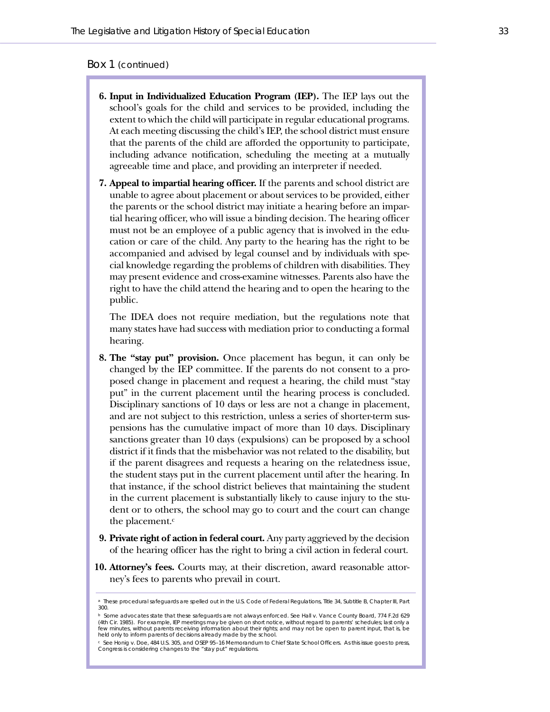### Box 1 (continued)

- **6. Input in Individualized Education Program (IEP).** The IEP lays out the school's goals for the child and services to be provided, including the extent to which the child will participate in regular educational programs. At each meeting discussing the child's IEP, the school district must ensure that the parents of the child are afforded the opportunity to participate, including advance notification, scheduling the meeting at a mutually agreeable time and place, and providing an interpreter if needed.
- **7. Appeal to impartial hearing officer.** If the parents and school district are unable to agree about placement or about services to be provided, either the parents or the school district may initiate a hearing before an impartial hearing officer, who will issue a binding decision. The hearing officer must not be an employee of a public agency that is involved in the education or care of the child. Any party to the hearing has the right to be accompanied and advised by legal counsel and by individuals with special knowledge regarding the problems of children with disabilities. They may present evidence and cross-examine witnesses. Parents also have the right to have the child attend the hearing and to open the hearing to the public.

The IDEA does not require mediation, but the regulations note that many states have had success with mediation prior to conducting a formal hearing.

- **8. The "stay put" provision.** Once placement has begun, it can only be changed by the IEP committee. If the parents do not consent to a proposed change in placement and request a hearing, the child must "stay put" in the current placement until the hearing process is concluded. Disciplinary sanctions of 10 days or less are not a change in placement, and are not subject to this restriction, unless a series of shorter-term suspensions has the cumulative impact of more than 10 days. Disciplinary sanctions greater than 10 days (expulsions) can be proposed by a school district if it finds that the misbehavior was not related to the disability, but if the parent disagrees and requests a hearing on the relatedness issue, the student stays put in the current placement until after the hearing. In that instance, if the school district believes that maintaining the student in the current placement is substantially likely to cause injury to the student or to others, the school may go to court and the court can change the placement.<sup>c</sup>
- **9. Private right of action in federal court.** Any party aggrieved by the decision of the hearing officer has the right to bring a civil action in federal court.
- **10. Attorney's fees.** Courts may, at their discretion, award reasonable attorney's fees to parents who prevail in court.

<sup>a</sup> These procedural safeguards are spelled out in the *U.S. Code of Federal Regulations*, Title 34, Subtitle B, Chapter III, Part 300.

<sup>b</sup> Some advocates state that these safeguards are not always enforced. See *Hall v. Vance County Board*, 774 F.2d 629 (4th Cir. 1985). For example, IEP meetings may be given on short notice, without regard to parents' schedules; last only a few minutes, without parents receiving information about their rights; and may not be open to parent input, that is, be held only to inform parents of decisions already made by the school.

<sup>c</sup> See *Honig v. Doe*, 484 U.S. 305, and OSEP 95–16 Memorandum to Chief State School Officers. As this issue goes to press, Congress is considering changes to the "stay put" regulations.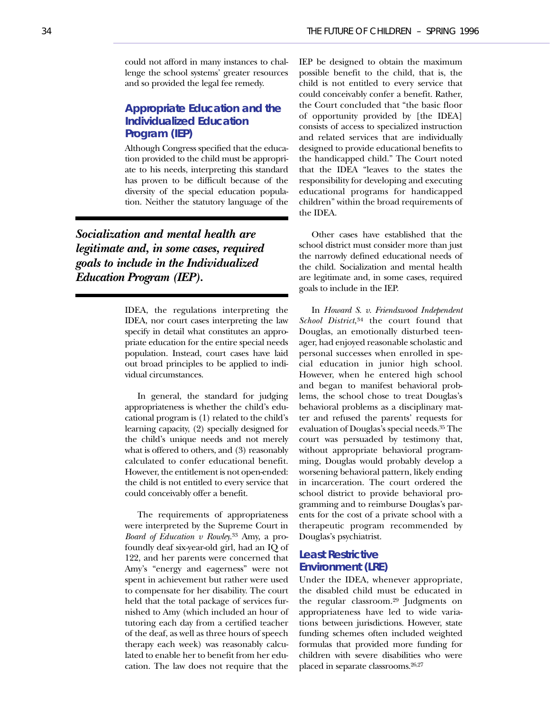could not afford in many instances to challenge the school systems' greater resources and so provided the legal fee remedy.

# **Appropriate Education and the Individualized Education Program (IEP)**

Although Congress specified that the education provided to the child must be appropriate to his needs, interpreting this standard has proven to be difficult because of the diversity of the special education population. Neither the statutory language of the

*Socialization and mental health are legitimate and, in some cases, required goals to include in the Individualized Education Program (IEP).*

> IDEA, the regulations interpreting the IDEA, nor court cases interpreting the law specify in detail what constitutes an appropriate education for the entire special needs population. Instead, court cases have laid out broad principles to be applied to individual circumstances.

> In general, the standard for judging appropriateness is whether the child's educational program is (1) related to the child's learning capacity, (2) specially designed for the child's unique needs and not merely what is offered to others, and (3) reasonably calculated to confer educational benefit. However, the entitlement is not open-ended: the child is not entitled to every service that could conceivably offer a benefit.

> The requirements of appropriateness were interpreted by the Supreme Court in *Board of Education v Rowley*.33 Amy, a profoundly deaf six-year-old girl, had an IQ of 122, and her parents were concerned that Amy's "energy and eagerness" were not spent in achievement but rather were used to compensate for her disability. The court held that the total package of services furnished to Amy (which included an hour of tutoring each day from a certified teacher of the deaf, as well as three hours of speech therapy each week) was reasonably calculated to enable her to benefit from her education. The law does not require that the

IEP be designed to obtain the maximum possible benefit to the child, that is, the child is not entitled to every service that could conceivably confer a benefit. Rather, the Court concluded that "the basic floor of opportunity provided by [the IDEA] consists of access to specialized instruction and related services that are individually designed to provide educational benefits to the handicapped child." The Court noted that the IDEA "leaves to the states the responsibility for developing and executing educational programs for handicapped children" within the broad requirements of the IDEA.

Other cases have established that the school district must consider more than just the narrowly defined educational needs of the child. Socialization and mental health are legitimate and, in some cases, required goals to include in the IEP.

In *Howard S. v. Friendswood Independent School District*,34 the court found that Douglas, an emotionally disturbed teenager, had enjoyed reasonable scholastic and personal successes when enrolled in special education in junior high school. However, when he entered high school and began to manifest behavioral problems, the school chose to treat Douglas's behavioral problems as a disciplinary matter and refused the parents' requests for evaluation of Douglas's special needs.35 The court was persuaded by testimony that, without appropriate behavioral programming, Douglas would probably develop a worsening behavioral pattern, likely ending in incarceration. The court ordered the school district to provide behavioral programming and to reimburse Douglas's parents for the cost of a private school with a therapeutic program recommended by Douglas's psychiatrist.

## **Least Restrictive Environment (LRE)**

Under the IDEA, whenever appropriate, the disabled child must be educated in the regular classroom.29 Judgments on appropriateness have led to wide variations between jurisdictions. However, state funding schemes often included weighted formulas that provided more funding for children with severe disabilities who were placed in separate classrooms.26,27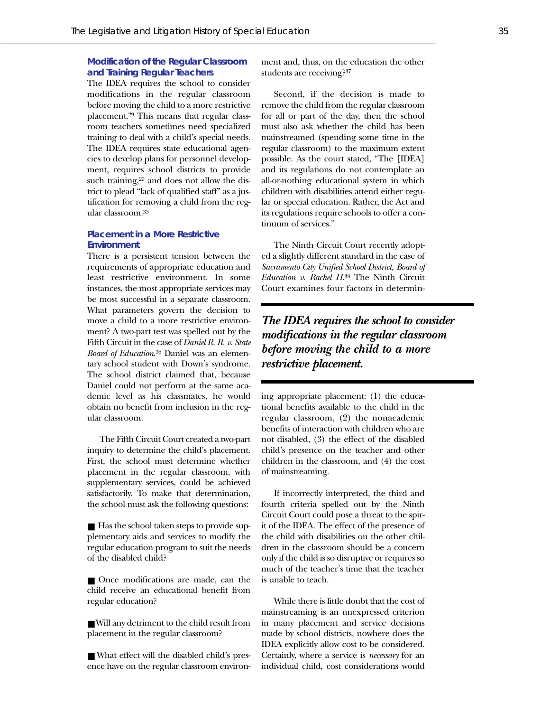### **Modification of the Regular Classroom and Training Regular Teachers**

The IDEA requires the school to consider modifications in the regular classroom before moving the child to a more restrictive placement.29 This means that regular classroom teachers sometimes need specialized training to deal with a child's special needs. The IDEA requires state educational agencies to develop plans for personnel development, requires school districts to provide such training,<sup>29</sup> and does not allow the district to plead "lack of qualified staff" as a justification for removing a child from the regular classroom.33

### **Placement in a More Restrictive Environment**

There is a persistent tension between the requirements of appropriate education and least restrictive environment. In some instances, the most appropriate services may be most successful in a separate classroom. What parameters govern the decision to move a child to a more restrictive environment? A two-part test was spelled out by the Fifth Circuit in the case of *Daniel R. R. v. State Board of Education*. <sup>36</sup> Daniel was an elementary school student with Down's syndrome. The school district claimed that, because Daniel could not perform at the same academic level as his classmates, he would obtain no benefit from inclusion in the regular classroom.

The Fifth Circuit Court created a two-part inquiry to determine the child's placement. First, the school must determine whether placement in the regular classroom, with supplementary services, could be achieved satisfactorily. To make that determination, the school must ask the following questions:

■ Has the school taken steps to provide supplementary aids and services to modify the regular education program to suit the needs of the disabled child?

■ Once modifications are made, can the child receive an educational benefit from regular education?

■ Will any detriment to the child result from placement in the regular classroom?

■ What effect will the disabled child's presence have on the regular classroom environment and, thus, on the education the other students are receiving?37

Second, if the decision is made to remove the child from the regular classroom for all or part of the day, then the school must also ask whether the child has been mainstreamed (spending some time in the regular classroom) to the maximum extent possible. As the court stated, "The [IDEA] and its regulations do not contemplate an all-or-nothing educational system in which children with disabilities attend either regular or special education. Rather, the Act and its regulations require schools to offer a continuum of services."

The Ninth Circuit Court recently adopted a slightly different standard in the case of *Sacramento City Unified School District, Board of Education v. Rachel H*. <sup>38</sup> The Ninth Circuit Court examines four factors in determin-

# *The IDEA requires the school to consider modifications in the regular classroom before moving the child to a more restrictive placement.*

ing appropriate placement: (1) the educational benefits available to the child in the regular classroom, (2) the nonacademic benefits of interaction with children who are not disabled, (3) the effect of the disabled child's presence on the teacher and other children in the classroom, and (4) the cost of mainstreaming.

If incorrectly interpreted, the third and fourth criteria spelled out by the Ninth Circuit Court could pose a threat to the spirit of the IDEA. The effect of the presence of the child with disabilities on the other children in the classroom should be a concern only if the child is so disruptive or requires so much of the teacher's time that the teacher is unable to teach.

While there is little doubt that the cost of mainstreaming is an unexpressed criterion in many placement and service decisions made by school districts, nowhere does the IDEA explicitly allow cost to be considered. Certainly, where a service is *necessary* for an individual child, cost considerations would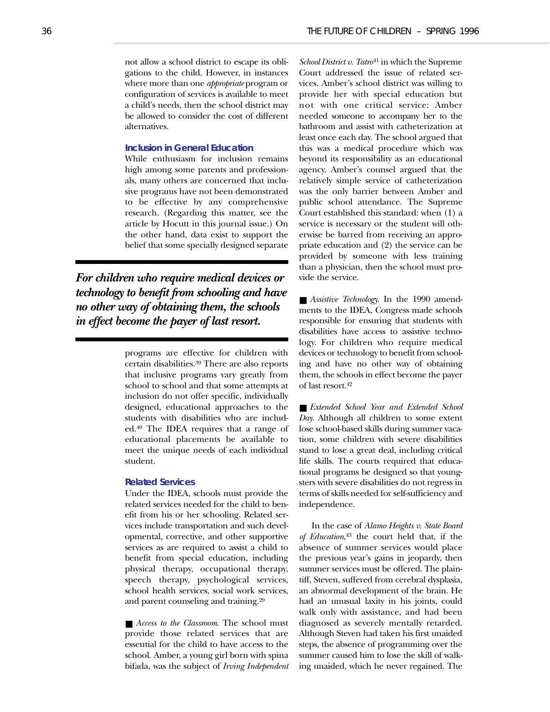not allow a school district to escape its obligations to the child. However, in instances where more than one *appropriate* program or configuration of services is available to meet a child's needs, then the school district may be allowed to consider the cost of different alternatives.

### **Inclusion in General Education**

While enthusiasm for inclusion remains high among some parents and professionals, many others are concerned that inclusive programs have not been demonstrated to be effective by any comprehensive research. (Regarding this matter, see the article by Hocutt in this journal issue.) On the other hand, data exist to support the belief that some specially designed separate

*For children who require medical devices or technology to benefit from schooling and have no other way of obtaining them, the schools in effect become the payer of last resort.*

> programs are effective for children with certain disabilities.39 There are also reports that inclusive programs vary greatly from school to school and that some attempts at inclusion do not offer specific, individually designed, educational approaches to the students with disabilities who are included.40 The IDEA requires that a range of educational placements be available to meet the unique needs of each individual student.

#### **Related Services**

Under the IDEA, schools must provide the related services needed for the child to benefit from his or her schooling. Related services include transportation and such developmental, corrective, and other supportive services as are required to assist a child to benefit from special education, including physical therapy, occupational therapy, speech therapy, psychological services, school health services, social work services, and parent counseling and training.29

■ *Access to the Classroom*. The school must provide those related services that are essential for the child to have access to the school. Amber, a young girl born with spina bifada, was the subject of *Irving Independent*

*School District v. Tatro*<sup>41</sup> in which the Supreme Court addressed the issue of related services. Amber's school district was willing to provide her with special education but not with one critical service: Amber needed someone to accompany her to the bathroom and assist with catheterization at least once each day. The school argued that this was a medical procedure which was beyond its responsibility as an educational agency. Amber's counsel argued that the relatively simple service of catheterization was the only barrier between Amber and public school attendance. The Supreme Court established this standard: when (1) a service is necessary or the student will otherwise be barred from receiving an appropriate education and (2) the service can be provided by someone with less training than a physician, then the school must provide the service.

■ *Assistive Technology*. In the 1990 amendments to the IDEA, Congress made schools responsible for ensuring that students with disabilities have access to assistive technology. For children who require medical devices or technology to benefit from schooling and have no other way of obtaining them, the schools in effect become the payer of last resort.42

■ *Extended School Year and Extended School Day*. Although all children to some extent lose school-based skills during summer vacation, some children with severe disabilities stand to lose a great deal, including critical life skills. The courts required that educational programs be designed so that youngsters with severe disabilities do not regress in terms of skills needed for self-sufficiency and independence.

In the case of *Alamo Heights v. State Board of Education*, <sup>43</sup> the court held that, if the absence of summer services would place the previous year's gains in jeopardy, then summer services must be offered. The plaintiff, Steven, suffered from cerebral dysplasia, an abnormal development of the brain. He had an unusual laxity in his joints, could walk only with assistance, and had been diagnosed as severely mentally retarded. Although Steven had taken his first unaided steps, the absence of programming over the summer caused him to lose the skill of walking unaided, which he never regained. The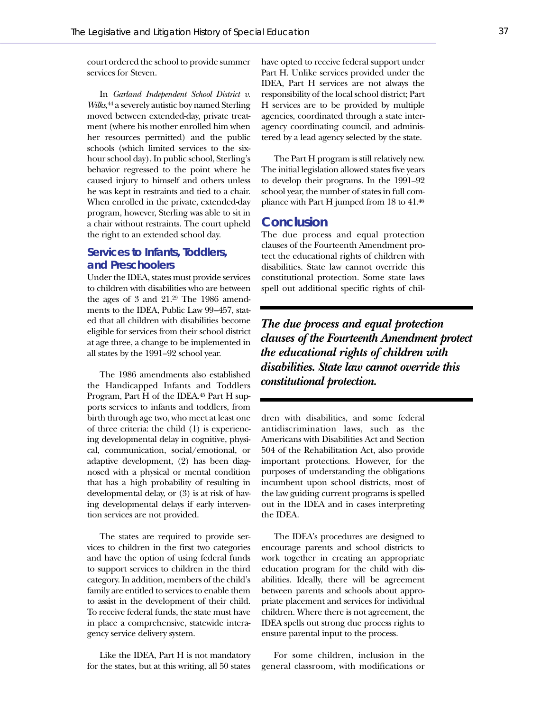court ordered the school to provide summer services for Steven.

In *Garland Independent School District v. Wilks*, <sup>44</sup> a severely autistic boy named Sterling moved between extended-day, private treatment (where his mother enrolled him when her resources permitted) and the public schools (which limited services to the sixhour school day). In public school, Sterling's behavior regressed to the point where he caused injury to himself and others unless he was kept in restraints and tied to a chair. When enrolled in the private, extended-day program, however, Sterling was able to sit in a chair without restraints. The court upheld the right to an extended school day.

# **Services to Infants, Toddlers, and Preschoolers**

Under the IDEA, states must provide services to children with disabilities who are between the ages of 3 and 21.29 The 1986 amendments to the IDEA, Public Law 99–457, stated that all children with disabilities become eligible for services from their school district at age three, a change to be implemented in all states by the 1991–92 school year.

The 1986 amendments also established the Handicapped Infants and Toddlers Program, Part H of the IDEA.45 Part H supports services to infants and toddlers, from birth through age two, who meet at least one of three criteria: the child (1) is experiencing developmental delay in cognitive, physical, communication, social/emotional, or adaptive development, (2) has been diagnosed with a physical or mental condition that has a high probability of resulting in developmental delay, or (3) is at risk of having developmental delays if early intervention services are not provided.

The states are required to provide services to children in the first two categories and have the option of using federal funds to support services to children in the third category. In addition, members of the child's family are entitled to services to enable them to assist in the development of their child. To receive federal funds, the state must have in place a comprehensive, statewide interagency service delivery system.

Like the IDEA, Part H is not mandatory for the states, but at this writing, all 50 states

have opted to receive federal support under Part H. Unlike services provided under the IDEA, Part H services are not always the responsibility of the local school district; Part H services are to be provided by multiple agencies, coordinated through a state interagency coordinating council, and administered by a lead agency selected by the state.

The Part H program is still relatively new. The initial legislation allowed states five years to develop their programs. In the 1991–92 school year, the number of states in full compliance with Part H jumped from 18 to 41.46

## **Conclusion**

The due process and equal protection clauses of the Fourteenth Amendment protect the educational rights of children with disabilities. State law cannot override this constitutional protection. Some state laws spell out additional specific rights of chil-

*The due process and equal protection clauses of the Fourteenth Amendment protect the educational rights of children with disabilities. State law cannot override this constitutional protection.*

dren with disabilities, and some federal antidiscrimination laws, such as the Americans with Disabilities Act and Section 504 of the Rehabilitation Act, also provide important protections. However, for the purposes of understanding the obligations incumbent upon school districts, most of the law guiding current programs is spelled out in the IDEA and in cases interpreting the IDEA.

The IDEA's procedures are designed to encourage parents and school districts to work together in creating an appropriate education program for the child with disabilities. Ideally, there will be agreement between parents and schools about appropriate placement and services for individual children. Where there is not agreement, the IDEA spells out strong due process rights to ensure parental input to the process.

For some children, inclusion in the general classroom, with modifications or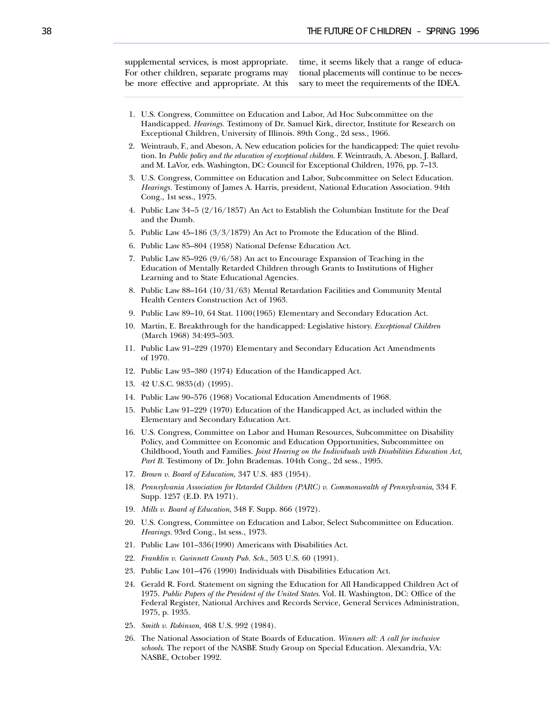supplemental services, is most appropriate. For other children, separate programs may be more effective and appropriate. At this

time, it seems likely that a range of educational placements will continue to be necessary to meet the requirements of the IDEA.

- 1. U.S. Congress, Committee on Education and Labor, Ad Hoc Subcommittee on the Handicapped. *Hearings.* Testimony of Dr. Samuel Kirk, director, Institute for Research on Exceptional Children, University of Illinois. 89th Cong., 2d sess., 1966.
- 2. Weintraub, F., and Abeson, A. New education policies for the handicapped: The quiet revolution. In *Public policy and the education of exceptional children*. F. Weintraub, A. Abeson, J. Ballard, and M. LaVor, eds. Washington, DC: Council for Exceptional Children, 1976, pp. 7–13.
- 3. U.S. Congress, Committee on Education and Labor, Subcommittee on Select Education. *Hearings.* Testimony of James A. Harris, president, National Education Association. 94th Cong., 1st sess., 1975.
- 4. Public Law 34–5 (2/16/1857) An Act to Establish the Columbian Institute for the Deaf and the Dumb.
- 5. Public Law 45–186 (3/3/1879) An Act to Promote the Education of the Blind.
- 6. Public Law 85–804 (1958) National Defense Education Act.
- 7. Public Law 85–926 (9/6/58) An act to Encourage Expansion of Teaching in the Education of Mentally Retarded Children through Grants to Institutions of Higher Learning and to State Educational Agencies.
- 8. Public Law 88–164 (10/31/63) Mental Retardation Facilities and Community Mental Health Centers Construction Act of 1963.
- 9. Public Law 89–10, 64 Stat. 1100(1965) Elementary and Secondary Education Act.
- 10. Martin, E. Breakthrough for the handicapped: Legislative history. *Exceptional Children* (March 1968) 34:493–503.
- 11. Public Law 91–229 (1970) Elementary and Secondary Education Act Amendments of 1970.
- 12. Public Law 93–380 (1974) Education of the Handicapped Act.
- 13. 42 U.S.C. 9835(d) (1995).
- 14. Public Law 90–576 (1968) Vocational Education Amendments of 1968.
- 15. Public Law 91–229 (1970) Education of the Handicapped Act, as included within the Elementary and Secondary Education Act.
- 16. U.S. Congress, Committee on Labor and Human Resources, Subcommittee on Disability Policy, and Committee on Economic and Education Opportunities, Subcommittee on Childhood, Youth and Families. *Joint Hearing on the Individuals with Disabilities Education Act, Part B.* Testimony of Dr. John Brademas. 104th Cong., 2d sess., 1995.
- 17. *Brown v. Board of Education*, 347 U.S. 483 (1954).
- 18. *Pennsylvania Association for Retarded Children (PARC) v. Commonwealth of Pennsylvania*, 334 F. Supp. 1257 (E.D. PA 1971).
- 19. *Mills v. Board of Education*, 348 F. Supp. 866 (1972).
- 20. U.S. Congress, Committee on Education and Labor, Select Subcommittee on Education. *Hearings.* 93rd Cong., lst sess., 1973.
- 21. Public Law 101–336(1990) Americans with Disabilities Act.
- 22. *Franklin v. Gwinnett County Pub. Sch.*, 503 U.S. 60 (1991).
- 23. Public Law 101–476 (1990) Individuals with Disabilities Education Act.
- 24. Gerald R. Ford. Statement on signing the Education for All Handicapped Children Act of 1975. *Public Papers of the President of the United States*. Vol. II. Washington, DC: Office of the Federal Register, National Archives and Records Service, General Services Administration, 1975, p. 1935.
- 25. *Smith v. Robinson*, 468 U.S. 992 (1984).
- 26. The National Association of State Boards of Education. *Winners all: A call for inclusive schools*. The report of the NASBE Study Group on Special Education. Alexandria, VA: NASBE, October 1992.